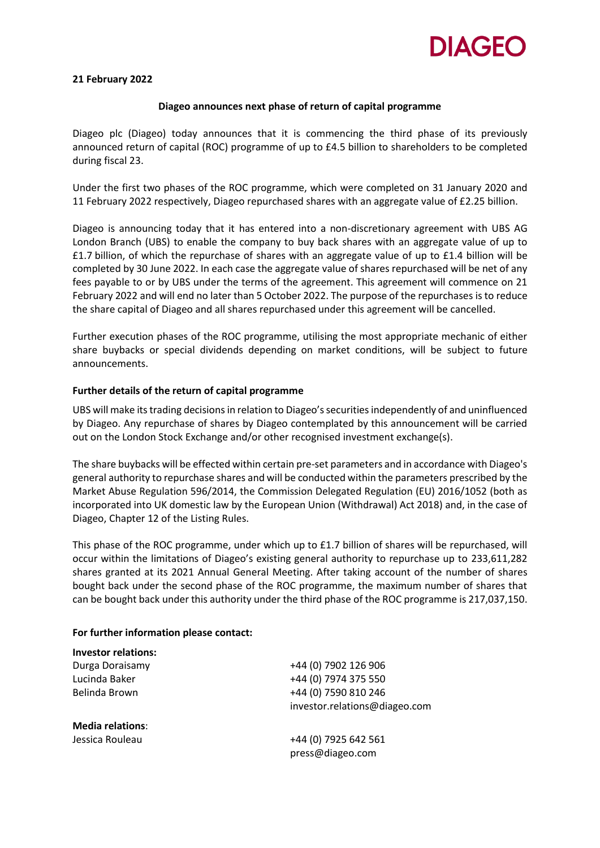

## **21 February 2022**

### **Diageo announces next phase of return of capital programme**

Diageo plc (Diageo) today announces that it is commencing the third phase of its previously announced return of capital (ROC) programme of up to £4.5 billion to shareholders to be completed during fiscal 23.

Under the first two phases of the ROC programme, which were completed on 31 January 2020 and 11 February 2022 respectively, Diageo repurchased shares with an aggregate value of £2.25 billion.

Diageo is announcing today that it has entered into a non-discretionary agreement with UBS AG London Branch (UBS) to enable the company to buy back shares with an aggregate value of up to £1.7 billion, of which the repurchase of shares with an aggregate value of up to £1.4 billion will be completed by 30 June 2022. In each case the aggregate value of shares repurchased will be net of any fees payable to or by UBS under the terms of the agreement. This agreement will commence on 21 February 2022 and will end no later than 5 October 2022. The purpose of the repurchases is to reduce the share capital of Diageo and all shares repurchased under this agreement will be cancelled.

Further execution phases of the ROC programme, utilising the most appropriate mechanic of either share buybacks or special dividends depending on market conditions, will be subject to future announcements.

## **Further details of the return of capital programme**

UBS will make its trading decisions in relation to Diageo'ssecurities independently of and uninfluenced by Diageo. Any repurchase of shares by Diageo contemplated by this announcement will be carried out on the London Stock Exchange and/or other recognised investment exchange(s).

The share buybacks will be effected within certain pre-set parameters and in accordance with Diageo's general authority to repurchase shares and will be conducted within the parameters prescribed by the Market Abuse Regulation 596/2014, the Commission Delegated Regulation (EU) 2016/1052 (both as incorporated into UK domestic law by the European Union (Withdrawal) Act 2018) and, in the case of Diageo, Chapter 12 of the Listing Rules.

This phase of the ROC programme, under which up to £1.7 billion of shares will be repurchased, will occur within the limitations of Diageo's existing general authority to repurchase up to 233,611,282 shares granted at its 2021 Annual General Meeting. After taking account of the number of shares bought back under the second phase of the ROC programme, the maximum number of shares that can be bought back under this authority under the third phase of the ROC programme is 217,037,150.

### **For further information please contact:**

| <b>Investor relations:</b> |                               |
|----------------------------|-------------------------------|
| Durga Doraisamy            | +44 (0) 7902 126 906          |
| Lucinda Baker              | +44 (0) 7974 375 550          |
| Belinda Brown              | +44 (0) 7590 810 246          |
|                            | investor.relations@diageo.com |
| <b>Media relations:</b>    |                               |
| Jessica Rouleau            | +44 (0) 7925 642 561          |
|                            | press@diageo.com              |